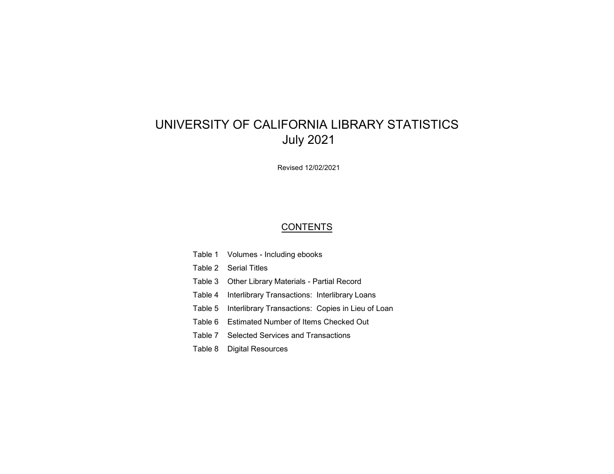# UNIVERSITY OF CALIFORNIA LIBRARY STATISTICS July 2021

Revised 12/02/2021

# **CONTENTS**

- Table 1 Volumes Including ebooks
- Table 2 Serial Titles
- Table 3 Other Library Materials Partial Record
- Table 4 Interlibrary Transactions: Interlibrary Loans
- Table 5 Interlibrary Transactions: Copies in Lieu of Loan
- Table 6 Estimated Number of Items Checked Out
- Table 7 Selected Services and Transactions
- Table 8 Digital Resources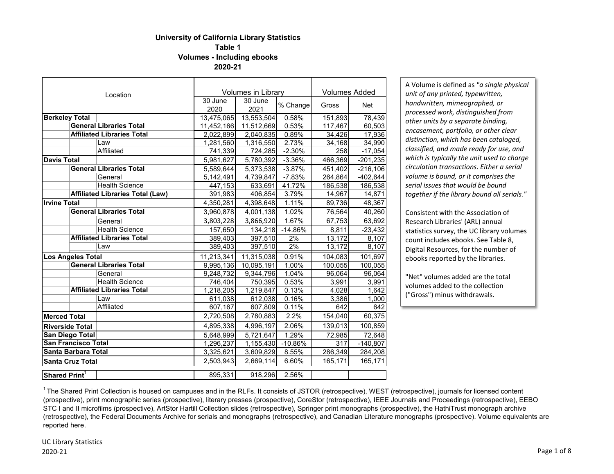# **University of California Library Statistics Table 1 Volumes - Including ebooks**

**2020-21**

|                           |                            | Location                                |            | <b>Volumes in Library</b> |           | <b>Volumes Added</b> |            |  |
|---------------------------|----------------------------|-----------------------------------------|------------|---------------------------|-----------|----------------------|------------|--|
|                           |                            |                                         | 30 June    | 30 June                   | % Change  | Gross                | <b>Net</b> |  |
|                           |                            |                                         | 2020       | 2021                      |           |                      |            |  |
| <b>Berkeley Total</b>     |                            |                                         | 13,475,065 | 13,553,504                | 0.58%     | 151,893              | 78,439     |  |
|                           |                            | <b>General Libraries Total</b>          | 11,452,166 | 11,512,669                | 0.53%     | 117,467              | 60,503     |  |
|                           |                            | <b>Affiliated Libraries Total</b>       | 2,022,899  | 2,040,835                 | 0.89%     | 34,426               | 17,936     |  |
|                           |                            | Law                                     | 1,281,560  | 1,316,550                 | 2.73%     | 34,168               | 34,990     |  |
|                           |                            | Affiliated                              | 741,339    | 724,285                   | $-2.30%$  | 258                  | $-17,054$  |  |
| <b>Davis Total</b>        |                            |                                         | 5,981,627  | 5,780,392                 | $-3.36%$  | 466,369              | $-201,235$ |  |
|                           |                            | <b>General Libraries Total</b>          | 5,589,644  | 5,373,538                 | $-3.87%$  | 451,402              | $-216,106$ |  |
|                           |                            | General                                 | 5,142,491  | 4,739,847                 | $-7.83%$  | 264,864              | $-402,644$ |  |
|                           |                            | <b>Health Science</b>                   | 447,153    | 633,691                   | 41.72%    | 186,538              | 186,538    |  |
|                           |                            | <b>Affiliated Libraries Total (Law)</b> | 391,983    | 406,854                   | 3.79%     | 14,967               | 14,871     |  |
| <b>Irvine Total</b>       |                            |                                         | 4,350,281  | 4,398,648                 | 1.11%     | 89,736               | 48,367     |  |
|                           |                            | <b>General Libraries Total</b>          | 3,960,878  | 4,001,138                 | 1.02%     | 76,564               | 40,260     |  |
|                           |                            | General                                 | 3,803,228  | 3,866,920                 | 1.67%     | 67,753               | 63,692     |  |
|                           |                            | <b>Health Science</b>                   | 157,650    | 134,218                   | $-14.86%$ | 8,811                | $-23,432$  |  |
|                           |                            | <b>Affiliated Libraries Total</b>       | 389,403    | 397,510                   | 2%        | 13,172               | 8,107      |  |
|                           |                            | Law                                     | 389,403    | 397,510                   | 2%        | 13,172               | 8,107      |  |
|                           | Los Angeles Total          |                                         | 11,213,341 | 11,315,038                | 0.91%     | 104,083              | 101,697    |  |
|                           |                            | <b>General Libraries Total</b>          | 9,995,136  | 10,095,191                | 1.00%     | 100,055              | 100,055    |  |
|                           |                            | General                                 | 9,248,732  | 9,344,796                 | 1.04%     | 96,064               | 96,064     |  |
|                           |                            | <b>Health Science</b>                   | 746,404    | 750,395                   | 0.53%     | 3,991                | 3,991      |  |
|                           |                            | <b>Affiliated Libraries Total</b>       | 1,218,205  | 1,219,847                 | 0.13%     | 4,028                | 1,642      |  |
|                           |                            | Law                                     | 611,038    | 612,038                   | 0.16%     | 3,386                | 1,000      |  |
|                           |                            | Affiliated                              | 607,167    | 607,809                   | 0.11%     | 642                  | 642        |  |
| <b>Merced Total</b>       |                            |                                         | 2,720,508  | 2,780,883                 | 2.2%      | 154,040              | 60,375     |  |
|                           | <b>Riverside Total</b>     |                                         | 4,895,338  | 4,996,197                 | 2.06%     | 139,013              | 100,859    |  |
|                           | San Diego Total            |                                         | 5,648,999  | 5,721,647                 | 1.29%     | 72,985               | 72,648     |  |
|                           | <b>San Francisco Total</b> |                                         | 1,296,237  | 1,155,430                 | $-10.86%$ | 317                  | $-140,807$ |  |
|                           | <b>Santa Barbara Total</b> |                                         | 3,325,621  | 3,609,829                 | 8.55%     | 286,349              | 284,208    |  |
|                           | <b>Santa Cruz Total</b>    |                                         | 2,503,943  | 2,669,114                 | 6.60%     | 165,171              | 165,171    |  |
| Shared Print <sup>1</sup> |                            |                                         | 895,331    | 918,296                   | 2.56%     |                      |            |  |

A Volume is defined as *"a single physical unit of any printed, typewritten, handwritten, mimeographed, or processed work, distinguished from other units by a separate binding, encasement, portfolio, or other clear distinction, which has been cataloged, classified, and made ready for use, and which is typically the unit used to charge circulation transactions. Either a serial volume is bound, or it comprises the serial issues that would be bound together if the library bound all serials."*

Consistent with the Association of Research Libraries' (ARL) annual statistics survey, the UC library volumes count includes ebooks. See Table 8, Digital Resources, for the number of ebooks reported by the libraries.

"Net" volumes added are the total volumes added to the collection ("Gross") minus withdrawals.

<sup>1</sup> The Shared Print Collection is housed on campuses and in the RLFs. It consists of JSTOR (retrospective), WEST (retrospective), journals for licensed content (prospective), print monographic series (prospective), literary presses (prospective), CoreStor (retrospective), IEEE Journals and Proceedings (retrospective), EEBO STC I and II microfilms (prospective), ArtStor Hartill Collection slides (retrospective), Springer print monographs (prospective), the HathiTrust monograph archive (retrospective), the Federal Documents Archive for serials and monographs (retrospective), and Canadian Literature monographs (prospective). Volume equivalents are reported here.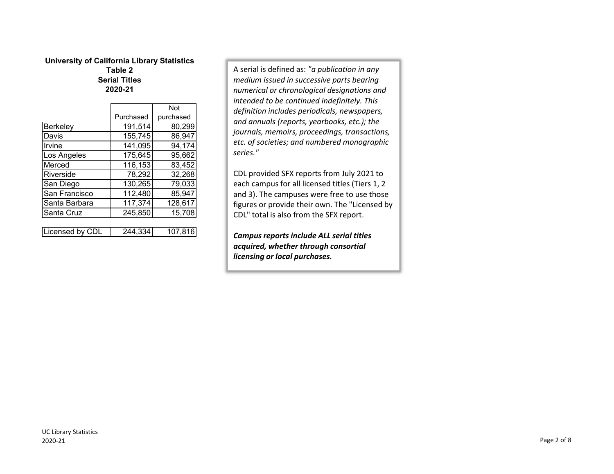### **University of California Library Statistics Table 2 Serial Titles 2020-21**

|                 |           | <b>Not</b> |
|-----------------|-----------|------------|
|                 | Purchased | purchased  |
| Berkeley        | 191,514   | 80,299     |
| Davis           | 155,745   | 86,947     |
| Irvine          | 141,095   | 94,174     |
| Los Angeles     | 175,645   | 95,662     |
| Merced          | 116,153   | 83,452     |
| Riverside       | 78,292    | 32,268     |
| San Diego       | 130,265   | 79,033     |
| San Francisco   | 112,480   | 85,947     |
| Santa Barbara   | 117,374   | 128,617    |
| Santa Cruz      | 245,850   | 15,708     |
|                 |           |            |
| Licensed by CDL | 244,334   | 107,816    |

A serial is defined as: *"a publication in any medium issued in successive parts bearing numerical or chronological designations and intended to be continued indefinitely. This definition includes periodicals, newspapers, and annuals (reports, yearbooks, etc.); the journals, memoirs, proceedings, transactions, etc. of societies; and numbered monographic series."*

CDL provided SFX reports from July 2021 to each campus for all licensed titles (Tiers 1, 2 and 3). The campuses were free to use those figures or provide their own. The "Licensed by CDL" total is also from the SFX report.

*Campusreports include ALL serial titles acquired, whether through consortial licensing or local purchases.*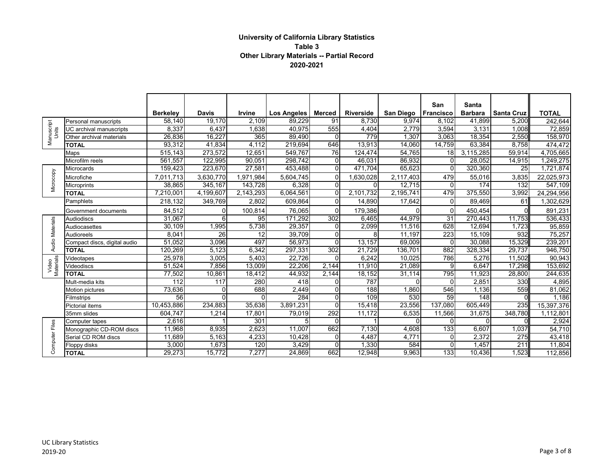## **University of California Library Statistics Table 3 Other Library Materials -- Partial Record 2020-2021**

|                     |                              |                  |              |           |                |                |                  |                       | San              | <b>Santa</b>   |                   |                      |
|---------------------|------------------------------|------------------|--------------|-----------|----------------|----------------|------------------|-----------------------|------------------|----------------|-------------------|----------------------|
|                     |                              | <b>Berkeley</b>  | <b>Davis</b> | Irvine    | Los Angeles    | Merced         | <b>Riverside</b> | San Diego   Francisco |                  | <b>Barbara</b> | <b>Santa Cruz</b> | <b>TOTAL</b>         |
|                     | Personal manuscripts         | 58,140           | 19,170       | 2,109     | 89,229         | 91             | 8,730            | 9,974                 | 8.102            | 41,899         | 5,200             | 242,644              |
| Manuscript<br>Units | UC archival manuscripts      | 8,337            | 6,437        | 1,638     | 40,975         | 555            | 4,404            | 2,779                 | 3,594            | 3,131          | 1,008             | 72,859               |
|                     | Other archival materials     | 26,836           | 16.227       | 365       | 89,490         | $\Omega$       | 779              | 1,307                 | 3.063            | 18,354         | 2,550             | 158,970              |
|                     | <b>TOTAL</b>                 | 93,312           | 41,834       | 4,112     | 219,694        | 646            | 13,913           | 14,060                | 14,759           | 63,384         | 8,758             | 474,472              |
|                     | Maps                         | 515,143          | 273,572      | 12,651    | 549,767        | 76             | 124,474          | 54,765                | 18 <sup>l</sup>  | 3,115,285      | 59,914            | 4,705,665            |
|                     | Microfilm reels              | 561,557          | 122,995      | 90,051    | 298,742        | $\overline{0}$ | 46,031           | 86,932                | $\Omega$         | 28,052         | 14,915            | 1,249,275            |
|                     | Microcards                   | 159,423          | 223,670      | 27,581    | 453,488        | $\Omega$       | 471.704          | 65,623                | $\Omega$         | 320,360        | 25                | 1,721,874            |
| Microcopy           | Microfiche                   | 7,011,713        | 3,630,770    | 1,971,984 | 5,604,745      | $\Omega$       | 1,630,028        | 2,117,403             | 479              | 55,016         | 3,835             | 22,025,973           |
|                     | <b>Microprints</b>           | 38.865           | 345,167      | 143,728   | 6,328          | $\Omega$       | O                | 12,715                | $\Omega$         | 174            | 132               | $\overline{547,109}$ |
|                     | <b>TOTAL</b>                 | 7,210,001        | 4,199,607    | 2,143,293 | 6,064,561      | $\Omega$       | 2,101,732        | 2,195,741             | 479              | 375,550        | 3,992             | 24,294,956           |
|                     | Pamphlets                    | 218,132          | 349,769      | 2,802     | 609,864        | $\Omega$       | 14,890           | 17,642                | $\Omega$         | 89,469         | 61                | 1,302,629            |
|                     | Government documents         | 84,512           | $\Omega$     | 100,814   | 76,065         | $\Omega$       | 179,386          |                       | $\Omega$         | 450,454        |                   | 891,231              |
|                     | <b>Audiodiscs</b>            | 31,067           | 6            | 95        | 171,292        | 302            | 6,465            | 44,979                | $\overline{31}$  | 270,443        | 11,753            | 536,433              |
| Audio Materials     | Audiocasettes                | 30,109           | 1,995        | 5,738     | 29,357         | $\Omega$       | 2,099            | 11,516                | 628              | 12,694         | 1,723             | 95,859               |
|                     | <b>Audioreels</b>            | 8,041            | 26           | 12        | 39.709         | $\Omega$       | 8                | 11,197                | $\overline{223}$ | 15,109         | 932               | 75,257               |
|                     | Compact discs, digital audio | 51,052           | 3,096        | 497       | 56,973         | $\Omega$       | 13,157           | 69,009                | $\Omega$         | 30,088         | 15,329            | 239,201              |
|                     | <b>TOTAL</b>                 | 120,269          | 5,123        | 6,342     | 297,331        | 302            | 21,729           | 136,701               | 882              | 328,334        | 29,737            | 946,750              |
| Materials           | Videotapes                   | 25,978           | 3,005        | 5,403     | 22.726         | $\Omega$       | 6,242            | 10,025                | 786              | 5,276          | 11,502            | 90,943               |
| Video               | <b>Videodiscs</b>            | 51.524           | 7,856        | 13,009    | 22,206         | 2,144          | 11,910           | 21,089                | 9                | 6,647          | 17,298            | 153,692              |
|                     | <b>TOTAL</b>                 | 77,502           | 10,861       | 18,412    | 44,932         | 2,144          | 18,152           | 31,114                | 795              | 11,923         | 28,800            | 244,635              |
|                     | Mult-media kits              | $\overline{112}$ | 117          | 280       | 418            | $\Omega$       | 787              | $\Omega$              | $\Omega$         | 2,851          | 330               | 4,895                |
|                     | <b>Motion pictures</b>       | 73,636           | $\Omega$     | 688       | 2,449          | $\Omega$       | 188              | 1,860                 | 546              | 1,136          | 559               | 81,062               |
|                     | Filmstrips                   | $\overline{56}$  | $\Omega$     | $\Omega$  | 284            | $\mathbf{0}$   | 109              | 530                   | 59               | 148            |                   | 1,186                |
|                     | <b>Pictorial items</b>       | 10,453,886       | 234,883      | 35,638    | 3,891,231      | $\Omega$       | 15,418           | 23,556                | 137,080          | 605,449        | 235               | 15,397,376           |
|                     | 35mm slides                  | 604,747          | 1,214        | 17,801    | 79,019         | 292            | 11,172           | 6,535                 | 11,566           | 31,675         | 348,780           | 1,112,801            |
|                     | Computer tapes               | 2,616            |              | 301       | 5 <sub>l</sub> | $\Omega$       |                  | $\Omega$              | $\Omega$         | $\Omega$       |                   | 2,924                |
| Computer Files      | Monographic CD-ROM discs     | 11,968           | 8,935        | 2,623     | 11,007         | 662            | 7,130            | 4,608                 | 133              | 6,607          | 1,037             | 54,710               |
|                     | Serial CD ROM discs          | 11,689           | 5,163        | 4,233     | 10,428         | $\Omega$       | 4,487            | 4,771                 | $\Omega$         | 2,372          | 275               | 43,418               |
|                     | Floppy disks                 | 3,000            | 1,673        | 120       | 3,429          | $\Omega$       | 1,330            | 584                   | $\Omega$         | 1,457          | 211               | 11,804               |
|                     | <b>TOTAL</b>                 | 29,273           | 15,772       | 7,277     | 24,869         | 662            | 12,948           | 9,963                 | 133              | 10,436         | 1,523             | 112,856              |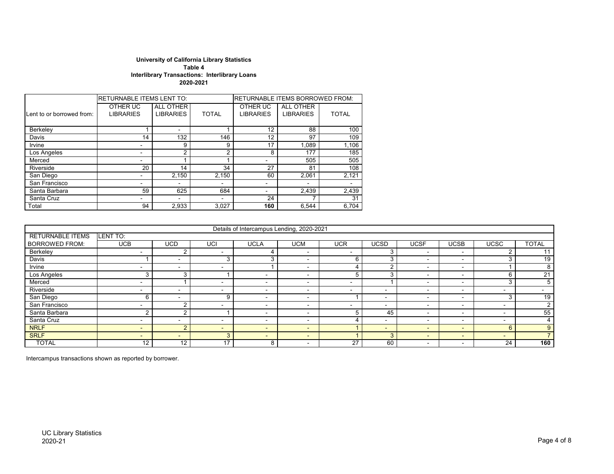#### **University of California Library Statistics Table 4 Interlibrary Transactions: Interlibrary Loans 2020-2021**

|                           | <b>RETURNABLE ITEMS LENT TO:</b> |                                      |              | <b>RETURNABLE ITEMS BORROWED FROM:</b> |                               |              |  |  |  |
|---------------------------|----------------------------------|--------------------------------------|--------------|----------------------------------------|-------------------------------|--------------|--|--|--|
| Lent to or borrowed from: | OTHER UC<br><b>LIBRARIES</b>     | <b>ALL OTHER</b><br><b>LIBRARIES</b> | <b>TOTAL</b> | OTHER UC<br><b>LIBRARIES</b>           | ALL OTHER<br><b>LIBRARIES</b> | <b>TOTAL</b> |  |  |  |
| Berkeley                  |                                  |                                      |              | 12                                     | 88                            | 100          |  |  |  |
| Davis                     | 14                               | 132                                  | 146          | 12                                     | 97                            | 109          |  |  |  |
| Irvine                    |                                  | 9                                    | 9            | 17                                     | 1.089                         | 1,106        |  |  |  |
| Los Angeles               |                                  | $\overline{2}$                       | っ            | 8                                      | 177                           | 185          |  |  |  |
| Merced                    |                                  |                                      |              | ۰                                      | 505                           | 505          |  |  |  |
| Riverside                 | 20                               | 14                                   | 34           | 27                                     | 81                            | 108          |  |  |  |
| San Diego                 |                                  | 2.150                                | 2.150        | 60                                     | 2.061                         | 2,121        |  |  |  |
| San Francisco             |                                  |                                      |              | -                                      |                               |              |  |  |  |
| Santa Barbara             | 59                               | 625                                  | 684          | -                                      | 2,439                         | 2,439        |  |  |  |
| Santa Cruz                |                                  |                                      |              | 24                                     |                               | 31           |  |  |  |
| Total                     | 94                               | 2,933                                | 3,027        | 160                                    | 6.544                         | 6,704        |  |  |  |

|                         |                          |                |                          | Details of Intercampus Lending, 2020-2021 |                          |                          |             |                          |                          |                          |              |
|-------------------------|--------------------------|----------------|--------------------------|-------------------------------------------|--------------------------|--------------------------|-------------|--------------------------|--------------------------|--------------------------|--------------|
| <b>RETURNABLE ITEMS</b> | LENT TO:                 |                |                          |                                           |                          |                          |             |                          |                          |                          |              |
| <b>BORROWED FROM:</b>   | <b>UCB</b>               | <b>UCD</b>     | UCI                      | <b>UCLA</b>                               | UCM                      | UCR                      | <b>UCSD</b> | <b>UCSF</b>              | UCSB                     | <b>UCSC</b>              | <b>TOTAL</b> |
| Berkeley                |                          |                |                          |                                           |                          |                          |             |                          | -                        |                          |              |
| Davis                   |                          |                | 3                        |                                           | $\overline{\phantom{0}}$ | 6                        |             | $\overline{\phantom{0}}$ | $\overline{\phantom{0}}$ |                          | 19           |
| Irvine                  | ۰                        | $\sim$         | $\overline{\phantom{0}}$ |                                           | $\overline{\phantom{0}}$ |                          | $\sqrt{2}$  | $\overline{\phantom{0}}$ | -                        |                          |              |
| Los Angeles             |                          | 3              |                          | -                                         | $\overline{\phantom{0}}$ |                          | Э           |                          |                          | 6                        | 21           |
| Merced                  | $\sim$                   |                | -                        | $\sim$                                    | $\overline{\phantom{0}}$ | $\overline{\phantom{a}}$ |             | $\overline{\phantom{0}}$ | $\overline{\phantom{0}}$ | $\sim$                   | .5           |
| Riverside               | -                        |                |                          | $\sim$                                    | -                        |                          | -           | $\overline{\phantom{0}}$ | $\overline{\phantom{0}}$ | $\overline{\phantom{0}}$ |              |
| San Diego               | n                        |                | 9                        | $\overline{\phantom{0}}$                  | $\overline{\phantom{0}}$ |                          | -           | $\overline{\phantom{0}}$ | $\sim$                   |                          | 19           |
| San Francisco           | $\sim$                   | $\sim$         | $\overline{\phantom{0}}$ | $\sim$                                    | $\overline{\phantom{0}}$ | $\overline{\phantom{0}}$ | $\sim$      | $\overline{\phantom{0}}$ | $\overline{\phantom{0}}$ | $\overline{\phantom{a}}$ |              |
| Santa Barbara           |                          | $\sim$         |                          | $\overline{\phantom{0}}$                  | -                        |                          | 45          | $\overline{\phantom{a}}$ | $\overline{\phantom{0}}$ | $\overline{\phantom{a}}$ | 55           |
| Santa Cruz              | -                        |                | ۰.                       | $\overline{\phantom{a}}$                  | $\overline{\phantom{0}}$ |                          | -           | $\overline{\phantom{0}}$ | $\overline{\phantom{0}}$ | $\overline{\phantom{0}}$ |              |
| <b>NRLF</b>             | $\overline{\phantom{0}}$ | $\overline{2}$ | $\overline{\phantom{0}}$ | $\sim$                                    | $\overline{\phantom{a}}$ |                          | $\sim$      | $\sim$                   | $\overline{\phantom{0}}$ | 6                        | 9            |
| <b>SRLF</b>             | $\overline{\phantom{0}}$ | $\sim$         | 3                        | $\sim$                                    | $\overline{\phantom{0}}$ |                          | З           | $\overline{\phantom{0}}$ | $\overline{\phantom{0}}$ | $\overline{\phantom{0}}$ |              |
| <b>TOTAL</b>            | 12                       | 12             | 17                       | 8                                         | $\overline{\phantom{0}}$ | 27                       | 60          |                          |                          | 24                       | 160          |

Intercampus transactions shown as reported by borrower.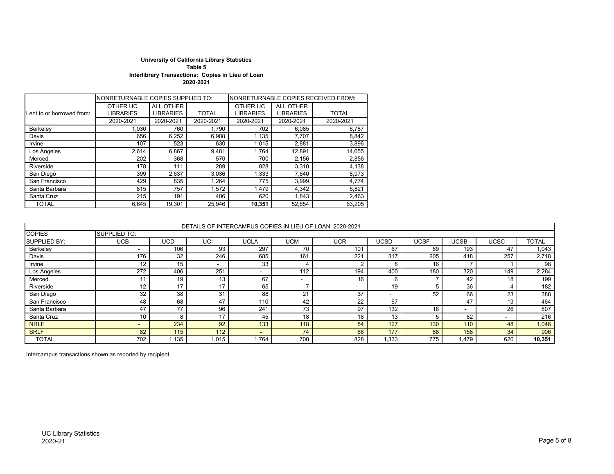#### **University of California Library Statistics Table 5 Interlibrary Transactions: Copies in Lieu of Loan 2020-2021**

|                           | NONRETURNABLE COPIES SUPPLIED TO: |                  |              |                  |                  | NONRETURNABLE COPIES RECEIVED FROM: |
|---------------------------|-----------------------------------|------------------|--------------|------------------|------------------|-------------------------------------|
|                           | OTHER UC                          | ALL OTHER        |              | OTHER UC         | <b>ALL OTHER</b> |                                     |
| Lent to or borrowed from: | LIBRARIES                         | <b>LIBRARIES</b> | <b>TOTAL</b> | <b>LIBRARIES</b> | <b>LIBRARIES</b> | <b>TOTAL</b>                        |
|                           | 2020-2021                         | 2020-2021        | 2020-2021    | 2020-2021        | 2020-2021        | 2020-2021                           |
| Berkeley                  | 1.030                             | 760              | 1,790        | 702              | 6,085            | 6,787                               |
| Davis                     | 656                               | 6,252            | 6,908        | 1,135            | 7,707            | 8,842                               |
| Irvine                    | 107                               | 523              | 630          | 1,015            | 2,881            | 3,896                               |
| Los Angeles               | 2.614                             | 6,867            | 9,481        | 1.764            | 12,891           | 14,655                              |
| Merced                    | 202                               | 368              | 570          | 700              | 2,156            | 2,856                               |
| Riverside                 | 178                               | 111              | 289          | 828              | 3,310            | 4,138                               |
| San Diego                 | 399                               | 2,637            | 3,036        | 1.333            | 7.640            | 8,973                               |
| San Francisco             | 429                               | 835              | 1,264        | 775              | 3,999            | 4,774                               |
| Santa Barbara             | 815                               | 757              | 1,572        | 1.479            | 4.342            | 5,821                               |
| Santa Cruz                | 215                               | 191              | 406          | 620              | 1,843            | 2,463                               |
| <b>TOTAL</b>              | 6.645                             | 19.301           | 25.946       | 10,351           | 52.854           | 63,205                              |

|                     |                     |            |                          |                          |     | DETAILS OF INTERCAMPUS COPIES IN LIEU OF LOAN, 2020-2021 |       |             |             |      |              |
|---------------------|---------------------|------------|--------------------------|--------------------------|-----|----------------------------------------------------------|-------|-------------|-------------|------|--------------|
| <b>COPIES</b>       | <b>SUPPLIED TO:</b> |            |                          |                          |     |                                                          |       |             |             |      |              |
| <b>SUPPLIED BY:</b> | <b>UCB</b>          | <b>UCD</b> | UCI                      | <b>UCLA</b>              | UCM | <b>UCR</b>                                               | UCSD  | <b>UCSF</b> | <b>UCSB</b> | UCSC | <b>TOTAL</b> |
| Berkeley            | $\sim$              | 106        | 93                       | 297                      | 70  | 101                                                      | 67    | 69          | 193         | 47   | 1,043        |
| Davis               | 176                 | 32         | 246                      | 685                      | 161 | 221                                                      | 317   | 205         | 418         | 257  | 2,718        |
| Irvine              | 12                  | 15         | $\overline{\phantom{a}}$ | 33                       |     |                                                          | 8     | 16          |             |      | 98           |
| Los Angeles         | 272                 | 406        | 251                      |                          | 112 | 194                                                      | 400   | 180         | 320         | 149  | 2,284        |
| Merced              |                     | 19         | 13                       | 67                       | ۰.  | 16                                                       | 6     |             | 42          | 18   | 199          |
| Riverside           | 12                  |            | 17                       | 65                       |     |                                                          | 19    |             | 36          |      | 182          |
| San Diego           | 32                  | 38         | 31                       | 88                       | 21  | 37                                                       | -     | 52          | 66          | 23   | 388          |
| San Francisco       | 48                  | 68         | 47                       | 110                      | 42  | 22                                                       | 67    |             | 47          | 13   | 464          |
| Santa Barbara       | 47                  | 77         | 96                       | 241                      | 73  | 97                                                       | 132   | 18          | -           | 26   | 807          |
| Santa Cruz          | 10                  |            | 17                       | 45                       | 18  | 18                                                       | 13    | 5           | 82          |      | 216          |
| <b>NRLF</b>         | <b>.</b>            | 234        | 92                       | 133                      | 118 | 54                                                       | 127   | 130         | 110         | 48   | 1,046        |
| <b>SRLF</b>         | 82                  | 115        | 112                      | $\overline{\phantom{0}}$ | 74  | 66                                                       | 177   | 88          | 158         | 34   | 906          |
| <b>TOTAL</b>        | 702                 | ,135       | 1,015                    | 1.764                    | 700 | 828                                                      | 1,333 | 775         | 479، ا      | 620  | 10,351       |

Intercampus transactions shown as reported by recipient.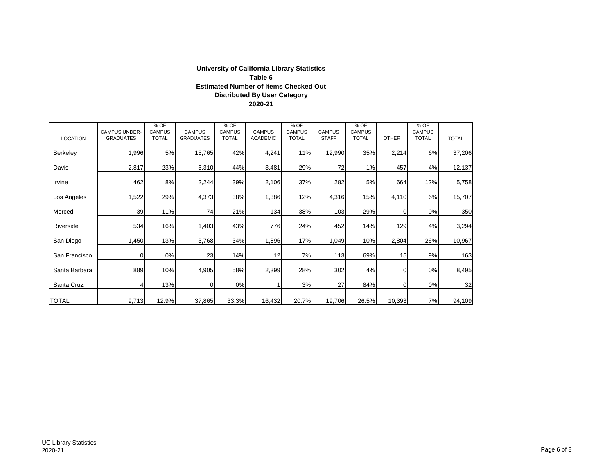# **University of California Library Statistics 2020-21 Distributed By User Category Estimated Number of Items Checked Out Table 6**

| <b>LOCATION</b> | <b>CAMPUS UNDER-</b><br><b>GRADUATES</b> | % OF<br><b>CAMPUS</b><br><b>TOTAL</b> | <b>CAMPUS</b><br><b>GRADUATES</b> | % OF<br><b>CAMPUS</b><br><b>TOTAL</b> | <b>CAMPUS</b><br><b>ACADEMIC</b> | % OF<br><b>CAMPUS</b><br><b>TOTAL</b> | <b>CAMPUS</b><br><b>STAFF</b> | % OF<br><b>CAMPUS</b><br><b>TOTAL</b> | <b>OTHER</b> | % OF<br><b>CAMPUS</b><br><b>TOTAL</b> | <b>TOTAL</b> |
|-----------------|------------------------------------------|---------------------------------------|-----------------------------------|---------------------------------------|----------------------------------|---------------------------------------|-------------------------------|---------------------------------------|--------------|---------------------------------------|--------------|
| <b>Berkeley</b> | 1,996                                    | 5%                                    | 15,765                            | 42%                                   | 4,241                            | 11%                                   | 12,990                        | 35%                                   | 2,214        | 6%                                    | 37,206       |
| Davis           | 2,817                                    | 23%                                   | 5,310                             | 44%                                   | 3,481                            | 29%                                   | 72                            | 1%                                    | 457          | 4%                                    | 12,137       |
| Irvine          | 462                                      | 8%                                    | 2,244                             | 39%                                   | 2,106                            | 37%                                   | 282                           | 5%                                    | 664          | 12%                                   | 5,758        |
| Los Angeles     | 1,522                                    | 29%                                   | 4,373                             | 38%                                   | 1,386                            | 12%                                   | 4,316                         | 15%                                   | 4,110        | 6%                                    | 15,707       |
| Merced          | 39                                       | 11%                                   | 74                                | 21%                                   | 134                              | 38%                                   | 103                           | 29%                                   |              | 0%                                    | 350          |
| Riverside       | 534                                      | 16%                                   | 1,403                             | 43%                                   | 776                              | 24%                                   | 452                           | 14%                                   | 129          | 4%                                    | 3,294        |
| San Diego       | 1,450                                    | 13%                                   | 3,768                             | 34%                                   | 1,896                            | 17%                                   | 1,049                         | 10%                                   | 2,804        | 26%                                   | 10,967       |
| San Francisco   | $\overline{0}$                           | 0%                                    | 23                                | 14%                                   | 12                               | 7%                                    | 113                           | 69%                                   | 15           | 9%                                    | 163          |
| Santa Barbara   | 889                                      | 10%                                   | 4,905                             | 58%                                   | 2,399                            | 28%                                   | 302                           | 4%                                    | $\Omega$     | 0%                                    | 8,495        |
| Santa Cruz      | 4                                        | 13%                                   | $\overline{0}$                    | 0%                                    | 1                                | 3%                                    | 27                            | 84%                                   | ∩            | 0%                                    | 32           |
| <b>TOTAL</b>    | 9,713                                    | 12.9%                                 | 37,865                            | 33.3%                                 | 16,432                           | 20.7%                                 | 19,706                        | 26.5%                                 | 10,393       | 7%                                    | 94,109       |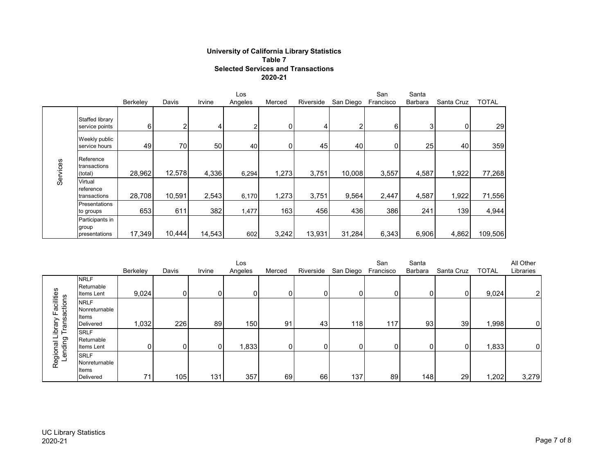### **University of California Library Statistics Table 7 Selected Services and Transactions 2020-21**

|          |                                           |          | Los    |        |         |        |           | San<br>Santa |           |                |            |              |
|----------|-------------------------------------------|----------|--------|--------|---------|--------|-----------|--------------|-----------|----------------|------------|--------------|
|          |                                           | Berkeley | Davis  | Irvine | Angeles | Merced | Riverside | San Diego    | Francisco | <b>Barbara</b> | Santa Cruz | <b>TOTAL</b> |
|          | Staffed library<br>service points         | 6        | っ      | 4      | ⌒       | 0      |           |              | 6         | c              | 0          | 29           |
|          | Weekly public<br>service hours            | 49       | 70     | 50     | 40      |        | 45        | 40           |           | 25             | 40         | 359          |
| Services | Reference<br>transactions<br>(total)      | 28,962   | 12,578 | 4,336  | 6,294   | 1,273  | 3,751     | 10,008       | 3,557     | 4,587          | 1,922      | 77,268       |
|          | Virtual<br>reference<br>transactions      | 28,708   | 10,591 | 2,543  | 6,170   | 1,273  | 3,751     | 9,564        | 2,447     | 4,587          | 1,922      | 71,556       |
|          | Presentations<br>to groups                | 653      | 611    | 382    | 1,477   | 163    | 456       | 436          | 386       | 241            | 139        | 4,944        |
|          | Participants in<br>group<br>presentations | 17,349   | 10,444 | 14,543 | 602     | 3,242  | 13,931    | 31,284       | 6,343     | 6,906          | 4,862      | 109,506      |

|                        |                                                           |          |       |        | Los      |        |                 |           | San       | Santa   |            |              | All Other      |
|------------------------|-----------------------------------------------------------|----------|-------|--------|----------|--------|-----------------|-----------|-----------|---------|------------|--------------|----------------|
|                        |                                                           | Berkeley | Davis | Irvine | Angeles  | Merced | Riverside       | San Diego | Francisco | Barbara | Santa Cruz | <b>TOTAL</b> | Libraries      |
| acilities              | <b>NRLF</b><br>Returnable<br>Items Lent                   | 9,024    | 0     | 01     | $\Omega$ |        | 01              | $\Omega$  |           | 0       | ΩI         | 9,024        | 2 <sup>1</sup> |
| Transactions<br>ibrary | <b>NRLF</b><br>Nonreturnable<br>Items<br>Delivered        | 1,032    | 226   | 89     | 150      | 91     | 43 <sub>l</sub> | 118       | 117       | 93      | 39         | 1,998        | $\overline{0}$ |
| ending<br>ল            | <b>SRLF</b><br>Returnable<br>Items Lent                   |          | n     | 0      | 1,833    |        |                 | ΩI        |           | 0       | ∩          | 1,833        | $\overline{0}$ |
| Regiona                | <b>SRLF</b><br>Nonreturnable<br>Items<br><b>Delivered</b> | 71       | 105   | 131    | 357      | 69     | 66              | 137       | 89        | 148     | 29         | 1,202        | 3,279          |